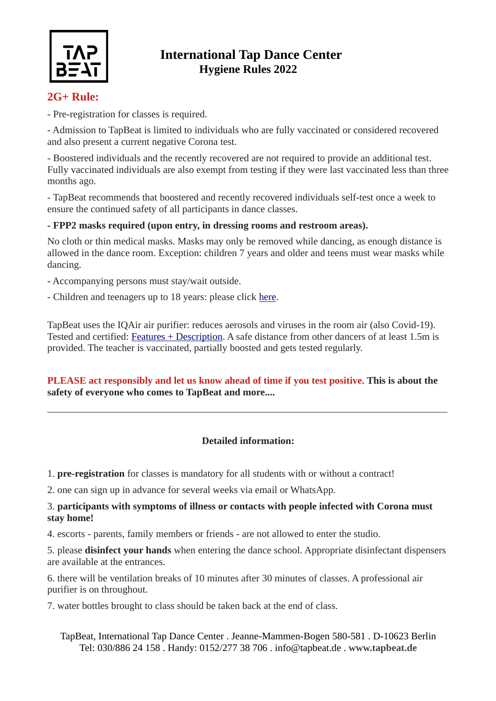

## **International Tap Dance Center Hygiene Rules 2022**

### **2G+ Rule:**

- Pre-registration for classes is required.

- Admission to TapBeat is limited to individuals who are fully vaccinated or considered recovered and also present a current negative Corona test.

- Boostered individuals and the recently recovered are not required to provide an additional test. Fully vaccinated individuals are also exempt from testing if they were last vaccinated less than three months ago.

- TapBeat recommends that boostered and recently recovered individuals self-test once a week to ensure the continued safety of all participants in dance classes.

#### **- FPP2 masks required (upon entry, in dressing rooms and restroom areas).**

No cloth or thin medical masks. Masks may only be removed while dancing, as enough distance is allowed in the dance room. Exception: children 7 years and older and teens must wear masks while dancing.

- Accompanying persons must stay/wait outside.
- Children and teenagers up to 18 years: please click here.

TapBeat uses the IQAir air purifier: reduces aerosols and viruses in the room air (also Covid-19). Tested and certified: Features + Description. A safe distance from other dancers of at least 1.5m is provided. The teacher is vaccinated, partially boosted and gets tested regularly.

#### **PLEASE act responsibly and let us know ahead of time if you test positive. This is about the safety of everyone who comes to TapBeat and more....**

### **Detailed information:**

\_\_\_\_\_\_\_\_\_\_\_\_\_\_\_\_\_\_\_\_\_\_\_\_\_\_\_\_\_\_\_\_\_\_\_\_\_\_\_\_\_\_\_\_\_\_\_\_\_\_\_\_\_\_\_\_\_\_\_\_\_\_\_\_\_\_\_\_\_\_\_\_\_\_\_\_\_\_\_\_

1. **pre-registration** for classes is mandatory for all students with or without a contract!

2. one can sign up in advance for several weeks via email or WhatsApp.

#### 3. **participants with symptoms of illness or contacts with people infected with Corona must stay home!**

4. escorts - parents, family members or friends - are not allowed to enter the studio.

5. please **disinfect your hands** when entering the dance school. Appropriate disinfectant dispensers are available at the entrances.

6. there will be ventilation breaks of 10 minutes after 30 minutes of classes. A professional air purifier is on throughout.

7. water bottles brought to class should be taken back at the end of class.

TapBeat, International Tap Dance Center . Jeanne-Mammen-Bogen 580-581 . D-10623 Berlin Tel: 030/886 24 158 . Handy: 0152/277 38 706 . info@tapbeat.de . **www.tapbeat.de**